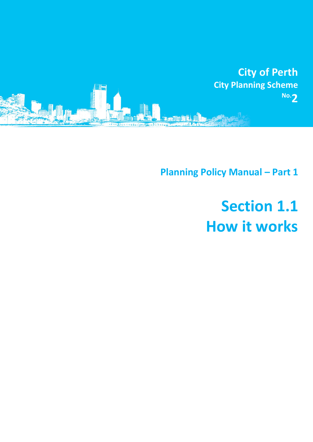

**Planning Policy Manual - Part 1** 

# **Section 1.1 How it works**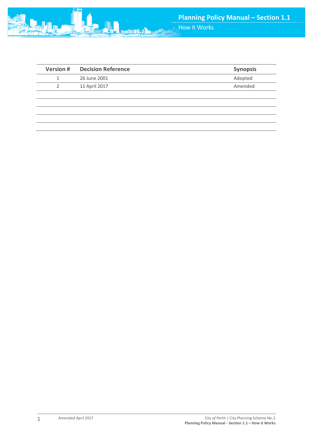

| <b>Version #</b> | <b>Decision Reference</b> | <b>Synopsis</b> |
|------------------|---------------------------|-----------------|
|                  | 26 June 2001              | Adopted         |
| 2                | 11 April 2017             | Amended         |
|                  |                           |                 |
|                  |                           |                 |
|                  |                           |                 |
|                  |                           |                 |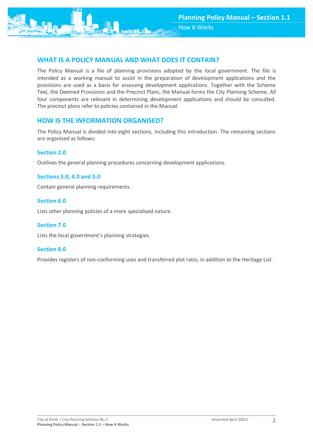# **WHAT IS A POLICY MANUAL AND WHAT DOES IT CONTAIN?**

The Policy Manual is a file of planning provisions adopted by the local government. The file is intended as a working manual to assist in the preparation of development applications and the provisions are used as a basis for assessing development applications. Together with the Scheme Text, the Deemed Provisions and the Precinct Plans, the Manual forms the City Planning Scheme. All four components are relevant in determining development applications and should be consulted. The precinct plans refer to policies contained in the Manual.

## **HOW IS THE INFORMATION ORGANISED?**

The Policy Manual is divided into eight sections, including this introduction. The remaining sections are organised as follows:

#### **Section 2.0**

Outlines the general planning procedures concerning development applications.

#### **Sections 3.0, 4.0 and 5.0**

Contain general planning requirements.

#### **Section 6.0**

Lists other planning policies of a more specialised nature.

#### **Section 7.0**

Lists the local government's planning strategies.

#### **Section 8.0**

Provides registers of non-conforming uses and transferred plot ratio, in addition to the Heritage List.